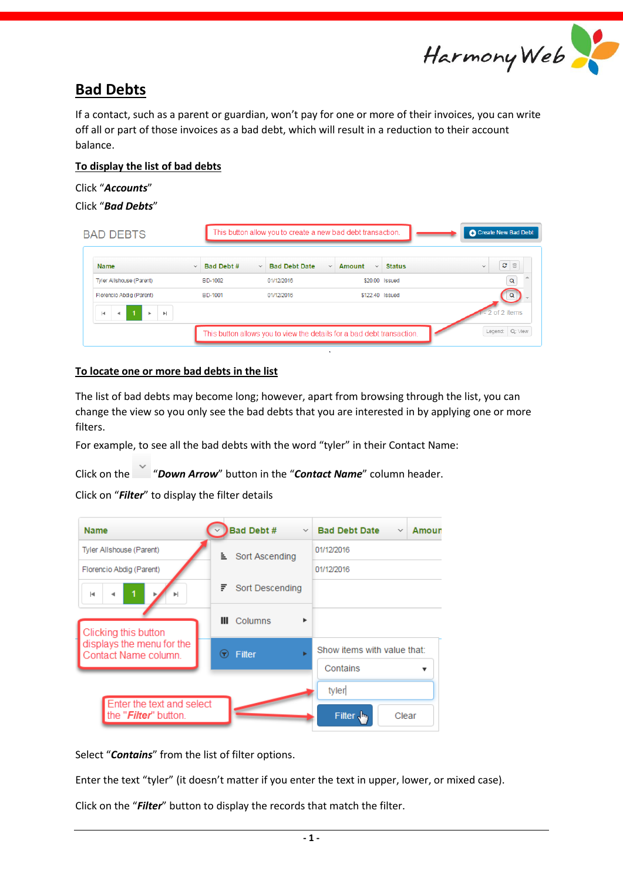

# **Bad Debts**

If a contact, such as a parent or guardian, won't pay for one or more of their invoices, you can write off all or part of those invoices as a bad debt, which will result in a reduction to their account balance.

## **To display the list of bad debts**

### Click "*Accounts*"

```
Click "Bad Debts"
```

| <b>BAD DEBTS</b>                 |              |            |              | This button allow you to create a new bad debt transaction.            |              |                        |                | Create New Bad Debt                                  |
|----------------------------------|--------------|------------|--------------|------------------------------------------------------------------------|--------------|------------------------|----------------|------------------------------------------------------|
| <b>Name</b>                      | $\checkmark$ | Bad Debt # | $\checkmark$ | <b>Bad Debt Date</b>                                                   | $\checkmark$ | Amount<br>$\checkmark$ | <b>Status</b>  | $\mathbf{C}$<br>$\widehat{\boxplus}$<br>$\checkmark$ |
| Tyler Allshouse (Parent)         |              | BD-1002    |              | 01/12/2016                                                             |              |                        | \$20.00 Issued | $\alpha$                                             |
| Florencio Abdia (Parent)         |              | BD-1001    |              | 01/12/2016                                                             |              | \$122.40 Issued        |                | Q                                                    |
| H.<br>$\blacktriangleright$<br>ь |              |            |              |                                                                        |              |                        |                | of 2 items                                           |
|                                  |              |            |              | This button allows you to view the details for a bad debt transaction. |              |                        |                | Legend: Q: View                                      |

# **To locate one or more bad debts in the list**

The list of bad debts may become long; however, apart from browsing through the list, you can change the view so you only see the bad debts that you are interested in by applying one or more filters.

For example, to see all the bad debts with the word "tyler" in their Contact Name:

Click on the "*Down Arrow*" button in the "*Contact Name*" column header.

Click on "*Filter*" to display the filter details

| <b>Name</b>                                       |                                                       | <b>Bad Debt #</b><br>$\checkmark$ | <b>Bad Debt Date</b><br>Amoun<br>$\searrow$ |  |  |  |  |
|---------------------------------------------------|-------------------------------------------------------|-----------------------------------|---------------------------------------------|--|--|--|--|
| Tyler Allshouse (Parent)                          | È.<br>F.<br>Ш<br>Filter<br>$\left( \mathbf{r}\right)$ | Sort Ascending                    | 01/12/2016                                  |  |  |  |  |
| Florencio Abdig (Parent)                          |                                                       |                                   | 01/12/2016                                  |  |  |  |  |
| м                                                 |                                                       | Sort Descending                   |                                             |  |  |  |  |
| Clicking this button                              |                                                       | Columns<br>٠                      |                                             |  |  |  |  |
| displays the menu for the<br>Contact Name column. |                                                       | ь                                 | Show items with value that:<br>Contains     |  |  |  |  |
| Enter the text and select                         |                                                       |                                   | tyler                                       |  |  |  |  |
| the " <i>Filter</i> " button.                     |                                                       |                                   | Filter $\frac{1}{2}$<br>Clear               |  |  |  |  |

Select "*Contains*" from the list of filter options.

Enter the text "tyler" (it doesn't matter if you enter the text in upper, lower, or mixed case).

Click on the "*Filter*" button to display the records that match the filter.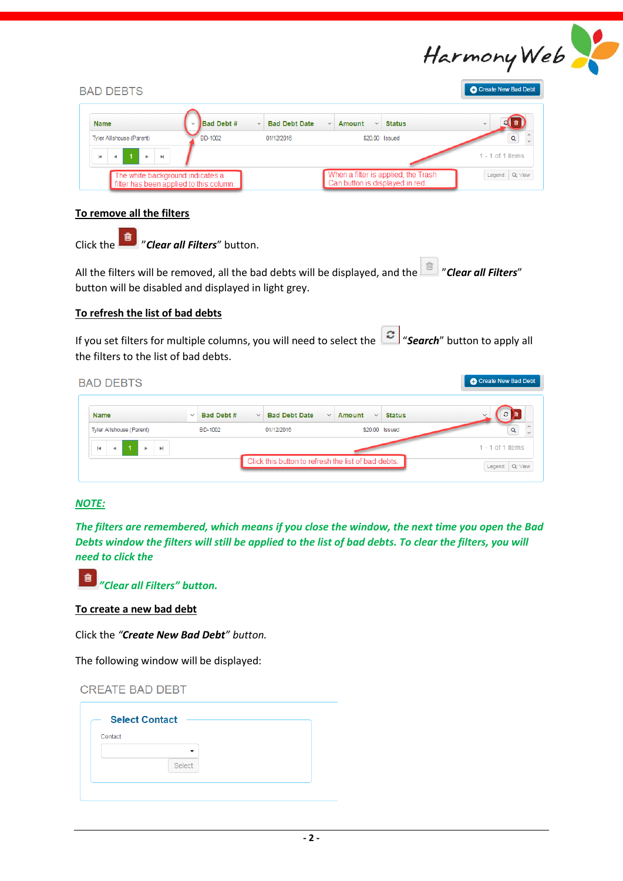

| <b>BAD DEBTS</b>                                                                              |                   |              |                      |              |                                 |                                     | C Create New Bad Debt |
|-----------------------------------------------------------------------------------------------|-------------------|--------------|----------------------|--------------|---------------------------------|-------------------------------------|-----------------------|
| <b>Name</b>                                                                                   | <b>Bad Debt #</b> | $\checkmark$ | <b>Bad Debt Date</b> | $\checkmark$ | Amount<br>$\checkmark$          | <b>Status</b>                       | $\checkmark$          |
| Tyler Allshouse (Parent)                                                                      | BD-1002           |              | 01/12/2016           |              | \$20.00 Issued                  |                                     |                       |
| $\blacksquare$ $\blacksquare$ $\blacksquare$ $\blacksquare$<br>$\blacksquare$<br>$\mathbb{R}$ |                   |              |                      |              |                                 |                                     | $1 - 1$ of 1 items    |
| The white background indicates a<br>filter has been applied to this column.                   |                   |              |                      |              | Can button is displayed in red. | When a filter is applied, the Trash | Legend: Q: View       |

#### **To remove all the filters**

Click the "*Clear all Filters*" button.

All the filters will be removed, all the bad debts will be displayed, and the **filter all filters**" button will be disabled and displayed in light grey.

#### **To refresh the list of bad debts**

If you set filters for multiple columns, you will need to select the "*Search*" button to apply all the filters to the list of bad debts.

| <b>BAD DEBTS</b>                                                                     |                            |                                                     |                                                         | C Create New Bad Debt               |
|--------------------------------------------------------------------------------------|----------------------------|-----------------------------------------------------|---------------------------------------------------------|-------------------------------------|
| Name                                                                                 | Bad Debt #<br>$\checkmark$ | <b>Bad Debt Date</b><br>$\checkmark$                | <b>Status</b><br>Amount<br>$\checkmark$<br>$\checkmark$ | C.<br>自                             |
| Tyler Allshouse (Parent)                                                             | BD-1002                    | 01/12/2016                                          | \$20.00 Issued                                          | Q                                   |
| $\mathbf{b}$<br>$\vert \cdot \vert$<br>$\blacktriangleright$<br>$\blacktriangleleft$ |                            | Click this button to refresh the list of bad debts. |                                                         | 1 - 1 of 1 items<br>Legend: Q: View |

## *NOTE:*

*The filters are remembered, which means if you close the window, the next time you open the Bad Debts window the filters will still be applied to the list of bad debts. To clear the filters, you will need to click the*



*"Clear all Filters" button.*

**To create a new bad debt**

Click the *"Create New Bad Debt" button.*

The following window will be displayed:

| <b>CREATE BAD DEBT</b> |  |  |
|------------------------|--|--|
|------------------------|--|--|

| Contact |        |
|---------|--------|
|         | -      |
|         | Select |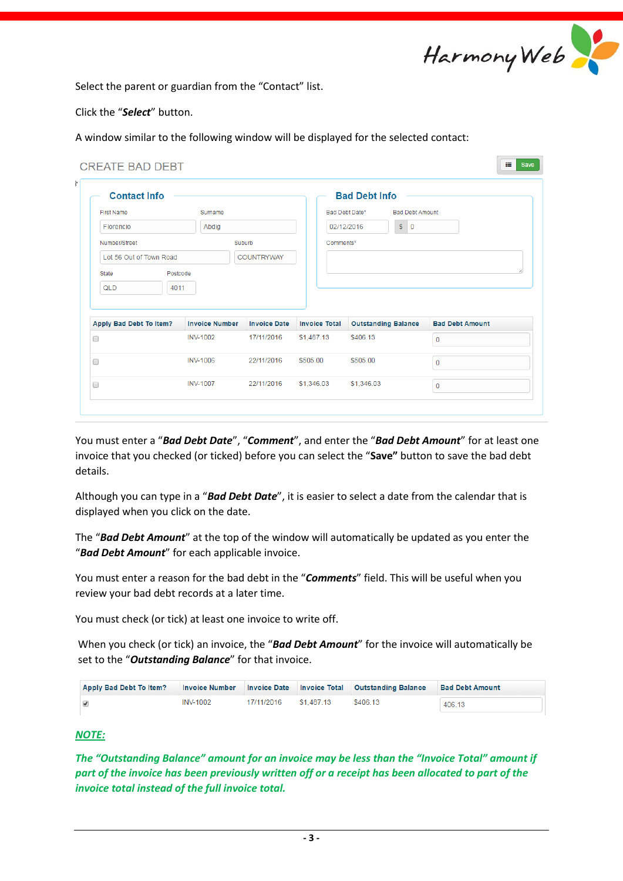

Select the parent or guardian from the "Contact" list.

Click the "*Select*" button.

A window similar to the following window will be displayed for the selected contact:

| <b>Contact Info</b>                                |                       |                     |                      | <b>Bad Debt Info</b>                     |                        |  |
|----------------------------------------------------|-----------------------|---------------------|----------------------|------------------------------------------|------------------------|--|
| <b>First Name</b>                                  | Surname               |                     |                      | <b>Bad Debt Amount</b><br>Bad Debt Date* |                        |  |
| Florencio                                          | Abdig                 |                     | 02/12/2016           | $S$ 0                                    |                        |  |
| Number/Street<br>Suburb<br>Lot 56 Out of Town Road |                       |                     | Comments*            |                                          |                        |  |
|                                                    |                       | <b>COUNTRYWAY</b>   |                      |                                          |                        |  |
| Postcode<br>State                                  |                       |                     |                      |                                          |                        |  |
|                                                    |                       |                     |                      |                                          |                        |  |
| QLD<br>4011                                        |                       |                     |                      |                                          |                        |  |
|                                                    |                       |                     |                      |                                          |                        |  |
|                                                    | <b>Invoice Number</b> | <b>Invoice Date</b> | <b>Invoice Total</b> | <b>Outstanding Balance</b>               | <b>Bad Debt Amount</b> |  |
|                                                    | <b>INV-1002</b>       | 17/11/2016          | \$1,487.13           | \$406.13                                 | $\mathbf{0}$           |  |
| Apply Bad Debt To Item?<br>0<br>∩                  | <b>INV-1006</b>       | 22/11/2016          | \$505.00             | \$505.00                                 | $\mathbf 0$            |  |

You must enter a "*Bad Debt Date*", "*Comment*", and enter the "*Bad Debt Amount*" for at least one invoice that you checked (or ticked) before you can select the "**Save"** button to save the bad debt details.

Although you can type in a "*Bad Debt Date*", it is easier to select a date from the calendar that is displayed when you click on the date.

The "*Bad Debt Amount*" at the top of the window will automatically be updated as you enter the "*Bad Debt Amount*" for each applicable invoice.

You must enter a reason for the bad debt in the "*Comments*" field. This will be useful when you review your bad debt records at a later time.

You must check (or tick) at least one invoice to write off.

When you check (or tick) an invoice, the "*Bad Debt Amount*" for the invoice will automatically be set to the "*Outstanding Balance*" for that invoice.

| Apply Bad Debt To Item? |                 |            |            | Invoice Number Invoice Date Invoice Total Outstanding Balance | <b>Bad Debt Amount</b> |
|-------------------------|-----------------|------------|------------|---------------------------------------------------------------|------------------------|
|                         | <b>INV-1002</b> | 17/11/2016 | \$1,487.13 | \$406.13                                                      | 406.13                 |

### *NOTE:*

*The "Outstanding Balance" amount for an invoice may be less than the "Invoice Total" amount if part of the invoice has been previously written off or a receipt has been allocated to part of the invoice total instead of the full invoice total.*